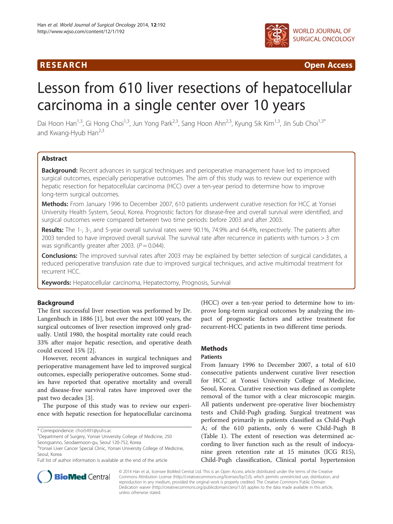## **RESEARCH CHINESE ARCH CHINESE ARCHITECT ACCESS**



# Lesson from 610 liver resections of hepatocellular carcinoma in a single center over 10 years

Dai Hoon Han<sup>1,3</sup>, Gi Hong Choi<sup>1,3</sup>, Jun Yong Park<sup>2,3</sup>, Sang Hoon Ahn<sup>2,3</sup>, Kyung Sik Kim<sup>1,3</sup>, Jin Sub Choi<sup>1,3\*</sup> and Kwang-Hyub Han<sup>2,3</sup>

## Abstract

Background: Recent advances in surgical techniques and perioperative management have led to improved surgical outcomes, especially perioperative outcomes. The aim of this study was to review our experience with hepatic resection for hepatocellular carcinoma (HCC) over a ten-year period to determine how to improve long-term surgical outcomes.

Methods: From January 1996 to December 2007, 610 patients underwent curative resection for HCC at Yonsei University Health System, Seoul, Korea. Prognostic factors for disease-free and overall survival were identified, and surgical outcomes were compared between two time periods: before 2003 and after 2003.

Results: The 1-, 3-, and 5-year overall survival rates were 90.1%, 74.9% and 64.4%, respectively. The patients after 2003 tended to have improved overall survival. The survival rate after recurrence in patients with tumors > 3 cm was significantly greater after 2003. ( $P = 0.044$ ).

Conclusions: The improved survival rates after 2003 may be explained by better selection of surgical candidates, a reduced perioperative transfusion rate due to improved surgical techniques, and active multimodal treatment for recurrent HCC.

Keywords: Hepatocellular carcinoma, Hepatectomy, Prognosis, Survival

## Background

The first successful liver resection was performed by Dr. Langenbuch in 1886 [[1\]](#page-7-0), but over the next 100 years, the surgical outcomes of liver resection improved only gradually. Until 1980, the hospital mortality rate could reach 33% after major hepatic resection, and operative death could exceed 15% [\[2](#page-7-0)].

However, recent advances in surgical techniques and perioperative management have led to improved surgical outcomes, especially perioperative outcomes. Some studies have reported that operative mortality and overall and disease-free survival rates have improved over the past two decades [\[3](#page-7-0)].

The purpose of this study was to review our experience with hepatic resection for hepatocellular carcinoma

<sup>1</sup> Department of Surgery, Yonsei University College of Medicine, 250

Seongsanno, Seodaemoon-gu, Seoul 120-752, Korea

Full list of author information is available at the end of the article



#### **Methods**

#### Patients

From January 1996 to December 2007, a total of 610 consecutive patients underwent curative liver resection for HCC at Yonsei University College of Medicine, Seoul, Korea. Curative resection was defined as complete removal of the tumor with a clear microscopic margin. All patients underwent pre-operative liver biochemistry tests and Child-Pugh grading. Surgical treatment was performed primarily in patients classified as Child-Pugh A; of the 610 patients, only 6 were Child-Pugh B (Table [1\)](#page-1-0). The extent of resection was determined according to liver function such as the result of indocyanine green retention rate at 15 minutes (ICG R15), Child-Pugh classification, Clinical portal hypertension



© 2014 Han et al.; licensee BioMed Central Ltd. This is an Open Access article distributed under the terms of the Creative Commons Attribution License [\(http://creativecommons.org/licenses/by/2.0\)](http://creativecommons.org/licenses/by/2.0), which permits unrestricted use, distribution, and reproduction in any medium, provided the original work is properly credited. The Creative Commons Public Domain Dedication waiver [\(http://creativecommons.org/publicdomain/zero/1.0/](http://creativecommons.org/publicdomain/zero/1.0/)) applies to the data made available in this article, unless otherwise stated.

<sup>\*</sup> Correspondence: [choi5491@yuhs.ac](mailto:choi5491@yuhs.ac) <sup>1</sup>

<sup>&</sup>lt;sup>3</sup>Yonsei Liver Cancer Special Clinic, Yonsei University College of Medicine, Seoul, Korea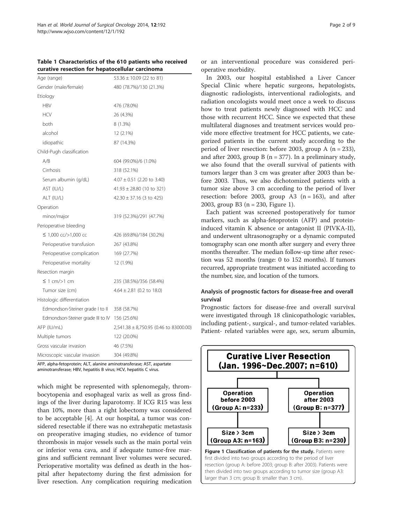<span id="page-1-0"></span>Table 1 Characteristics of the 610 patients who received curative resection for hepatocellular carcinoma

| Age (range)                       | $53.36 \pm 10.09$ (22 to 81)           |
|-----------------------------------|----------------------------------------|
| Gender (male/female)              | 480 (78.7%)/130 (21.3%)                |
| Etiology                          |                                        |
| <b>HBV</b>                        | 476 (78.0%)                            |
| <b>HCV</b>                        | 26 (4.3%)                              |
| both                              | 8 (1.3%)                               |
| alcohol                           | 12 (2.1%)                              |
| idiopathic                        | 87 (14.3%)                             |
| Child-Pugh classification         |                                        |
| A/B                               | 604 (99.0%)/6 (1.0%)                   |
| Cirrhosis                         | 318 (52.1%)                            |
| Serum albumin (g/dL)              | $4.07 \pm 0.51$ (2.20 to 3.40)         |
| AST (IU/L)                        | $41.93 \pm 28.80$ (10 to 321)          |
| ALT (IU/L)                        | $42.30 \pm 37.16$ (3 to 425)           |
| Operation                         |                                        |
| minor/major                       | 319 (52.3%)/291 (47.7%)                |
| Perioperative bleeding            |                                        |
| ≤ 1,000 cc/>1,000 cc              | 426 (69.8%)/184 (30.2%)                |
| Perioperative transfusion         | 267 (43.8%)                            |
| Perioperative complication        | 169 (27.7%)                            |
| Perioperative mortality           | 12 (1.9%)                              |
| Resection margin                  |                                        |
| $\leq$ 1 cm/>1 cm                 | 235 (38.5%)/356 (58.4%)                |
| Tumor size (cm)                   | $4.64 \pm 2.81$ (0.2 to 18.0)          |
| Histologic differentiation        |                                        |
| Edmondson-Steiner grade I to II   | 358 (58.7%)                            |
| Edmondson-Steiner grade III to IV | 156 (25.6%)                            |
| AFP (IU/mL)                       | 2,541.38 ± 8,750.95 (0.46 to 83000.00) |
| Multiple tumors                   | 122 (20.0%)                            |
| Gross vascular invasion           | 46 (7.5%)                              |
| Microscopic vascular invasion     | 304 (49.8%)                            |

AFP, alpha-fetoprotein; ALT, alanine aminotransferase; AST, aspartate aminotransferase; HBV, hepatitis B virus; HCV, hepatitis C virus.

which might be represented with splenomegaly, thrombocytopenia and esophageal varix as well as gross findings of the liver during laparotomy. If ICG R15 was less than 10%, more than a right lobectomy was considered to be acceptable [[4](#page-7-0)]. At our hospital, a tumor was considered resectable if there was no extrahepatic metastasis on preoperative imaging studies, no evidence of tumor thrombosis in major vessels such as the main portal vein or inferior vena cava, and if adequate tumor-free margins and sufficient remnant liver volumes were secured. Perioperative mortality was defined as death in the hospital after hepatectomy during the first admission for liver resection. Any complication requiring medication or an interventional procedure was considered perioperative morbidity.

In 2003, our hospital established a Liver Cancer Special Clinic where hepatic surgeons, hepatologists, diagnostic radiologists, interventional radiologists, and radiation oncologists would meet once a week to discuss how to treat patients newly diagnosed with HCC and those with recurrent HCC. Since we expected that these multilateral diagnoses and treatment services would provide more effective treatment for HCC patients, we categorized patients in the current study according to the period of liver resection: before 2003, group A ( $n = 233$ ), and after 2003, group B  $(n = 377)$ . In a preliminary study, we also found that the overall survival of patients with tumors larger than 3 cm was greater after 2003 than before 2003. Thus, we also dichotomized patients with a tumor size above 3 cm according to the period of liver resection: before 2003, group A3  $(n = 163)$ , and after 2003, group B3 (n = 230, Figure 1).

Each patient was screened postoperatively for tumor markers, such as alpha-fetoprotein (AFP) and proteininduced vitamin K absence or antagonist II (PIVKA-II), and underwent ultrasonography or a dynamic computed tomography scan one month after surgery and every three months thereafter. The median follow-up time after resection was 52 months (range: 0 to 152 months). If tumors recurred, appropriate treatment was initiated according to the number, size, and location of the tumors.

## Analysis of prognostic factors for disease-free and overall survival

Prognostic factors for disease-free and overall survival were investigated through 18 clinicopathologic variables, including patient-, surgical-, and tumor-related variables. Patient- related variables were age, sex, serum albumin,

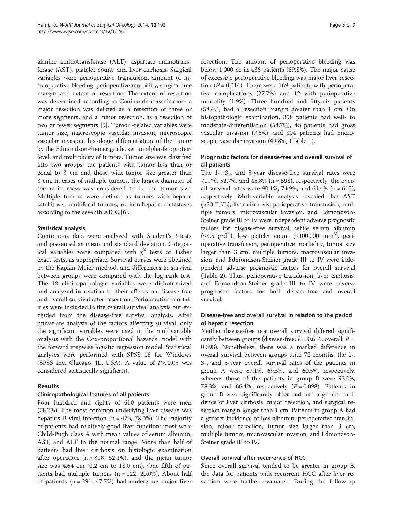alanine aminotransferase (ALT), aspartate aminotransferase (AST), platelet count, and liver cirrhosis. Surgical variables were perioperative transfusion, amount of intraoperative bleeding, perioperative morbidity, surgical-free margin, and extent of resection. The extent of resection was determined according to Couinaud's classification: a major resection was defined as a resection of three or more segments, and a minor resection, as a resection of two or fewer segments [\[5](#page-7-0)]. Tumor -related variables were tumor size, macroscopic vascular invasion, microscopic vascular invasion, histologic differentiation of the tumor by the Edmondson-Steiner grade, serum alpha-fetoprotein level, and multiplicity of tumors. Tumor size was classified into two groups: the patients with tumor less than or equal to 3 cm and those with tumor size greater than 3 cm. In cases of multiple tumors, the largest diameter of the main mass was considered to be the tumor size. Multiple tumors were defined as tumors with hepatic satellitosis, multifocal tumors, or intrahepatic metastases according to the seventh AJCC [\[6](#page-8-0)].

#### Statistical analysis

Continuous data were analyzed with Student's t-tests and presented as mean and standard deviation. Categorical variables were compared with  $\chi^2$  tests or Fisher exact tests, as appropriate. Survival curves were obtained by the Kaplan-Meier method, and differences in survival between groups were compared with the log rank test. The 18 clinicopathologic variables were dichotomized and analyzed in relation to their effects on disease-free and overall survival after resection. Perioperative mortalities were included in the overall survival analysis but excluded from the disease-free survival analysis. After univariate analysis of the factors affecting survival, only the significant variables were used in the multivariable analysis with the Cox-proportional hazards model with the forward stepwise logistic regression model. Statistical analyses were performed with SPSS 18 for Windows (SPSS Inc, Chicago, IL, USA). A value of  $P < 0.05$  was considered statistically significant.

## Results

## Clinicopathological features of all patients

Four hundred and eighty of 610 patients were men (78.7%). The most common underlying liver disease was hepatitis B viral infection ( $n = 476$ , 78.0%). The majority of patients had relatively good liver function: most were Child-Pugh class A with mean values of serum albumin, AST, and ALT in the normal range. More than half of patients had liver cirrhosis on histologic examination after operation ( $n = 318, 52.1\%$ ), and the mean tumor size was 4.64 cm (0.2 cm to 18.0 cm). One fifth of patients had multiple tumors  $(n = 122, 20.0\%)$ . About half of patients  $(n = 291, 47.7%)$  had undergone major liver

resection. The amount of perioperative bleeding was below 1,000 cc in 436 patients (69.8%). The major cause of excessive perioperative bleeding was major liver resection ( $P = 0.014$ ). There were 169 patients with perioperative complications (27.7%) and 12 with perioperative mortality (1.9%). Three hundred and fifty-six patients (58.4%) had a resection margin greater than 1 cm. On histopathologic examination, 358 patients had well- to moderate-differentiation (58.7%), 46 patients had gross vascular invasion (7.5%), and 304 patients had microscopic vascular invasion (49.8%) (Table [1](#page-1-0)).

## Prognostic factors for disease-free and overall survival of all patients

The 1-, 3-, and 5-year disease-free survival rates were 71.7%, 52.7%, and 45.8% (n = 598), respectively; the overall survival rates were 90.1%, 74.9%, and 64.4% ( $n = 610$ ), respectively. Multivariable analysis revealed that AST (>50 IU/L), liver cirrhosis, perioperative transfusion, multiple tumors, microvascular invasion, and Edmondson-Steiner grade III to IV were independent adverse prognostic factors for disease-free survival; while serum albumin  $(\leq 3.5 \text{ g/dL})$ , low platelet count  $(\leq 100,000 \text{ mm}^3)$ , perioperative transfusion, perioperative morbidity, tumor size larger than 3 cm, multiple tumors, macrovascular invasion, and Edmondson-Steiner grade III to IV were independent adverse prognostic factors for overall survival (Table [2](#page-3-0)). Thus, perioperative transfusion, liver cirrhosis, and Edmondson-Steiner grade III to IV were adverse prognostic factors for both disease-free and overall survival.

## Disease-free and overall survival in relation to the period of hepatic resection

Neither disease-free nor overall survival differed significantly between groups (disease-free:  $P = 0.616$ ; overall:  $P =$ 0.098). Nonetheless, there was a marked difference in overall survival between groups until 72 months; the 1-, 3-, and 5-year overall survival rates of the patients in group A were 87.1%, 69.5%, and 60.5%, respectively, whereas those of the patients in group B were 92.0%, 78.3%, and 66.4%, respectively  $(P = 0.098)$ . Patients in group B were significantly older and had a greater incidence of liver cirrhosis, major resection, and surgical resection margin longer than 1 cm. Patients in group A had a greater incidence of low albumin, perioperative transfusion, minor resection, tumor size larger than 3 cm, multiple tumors, microvascular invasion, and Edmondson-Steiner grade III to IV.

## Overall survival after recurrence of HCC

Since overall survival tended to be greater in group B, the data for patients with recurrent HCC after liver resection were further evaluated. During the follow-up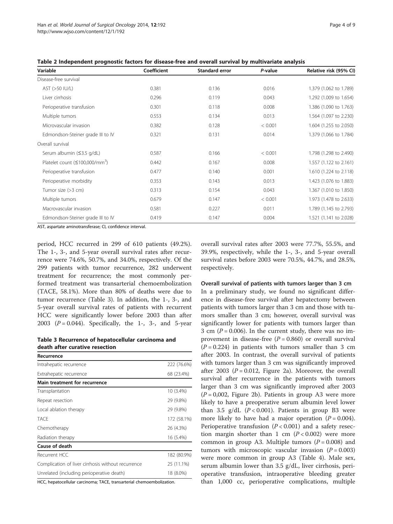| Variable                             | Coefficient | <b>Standard error</b> | P-value                           | Relative risk (95% CI) |  |
|--------------------------------------|-------------|-----------------------|-----------------------------------|------------------------|--|
| Disease-free survival                |             |                       |                                   |                        |  |
| AST (>50 IU/L)                       | 0.381       | 0.136                 | 0.016                             | 1.379 (1.062 to 1.789) |  |
| Liver cirrhosis                      | 0.296       | 0.119                 | 0.043                             | 1.292 (1.009 to 1.654) |  |
| Perioperative transfusion            | 0.301       | 0.118                 | 0.008                             | 1.386 (1.090 to 1.763) |  |
| Multiple tumors                      | 0.553       | 0.134<br>0.013        |                                   | 1.564 (1.097 to 2.230) |  |
| Microvascular invasion               | 0.382       | 0.128                 | 1.604 (1.255 to 2.050)<br>< 0.001 |                        |  |
| Edmondson-Steiner grade III to IV    | 0.321       | 0.131                 | 0.014                             | 1.379 (1.066 to 1.784) |  |
| Overall survival                     |             |                       |                                   |                        |  |
| Serum albumin (≤3.5 g/dL)            | 0.587       | 0.166                 | < 0.001                           | 1.798 (1.298 to 2.490) |  |
| Platelet count $(\leq 100,000/mm^3)$ | 0.442       | 0.167                 | 0.008<br>1.557 (1.122 to 2.161)   |                        |  |
| Perioperative transfusion            | 0.477       | 0.140                 | 0.001                             | 1.610 (1.224 to 2.118) |  |
| Perioperative morbidity              | 0.353       | 0.143                 | 0.013                             | 1.423 (1.076 to 1.883) |  |
| Tumor size (>3 cm)                   | 0.313       | 0.154                 | 0.043                             | 1.367 (1.010 to 1.850) |  |
| Multiple tumors                      | 0.679       | 0.147                 | < 0.001                           | 1.973 (1.478 to 2.633) |  |
| Macrovascular invasion               | 0.581       | 0.227                 | 0.011                             | 1.789 (1.145 to 2.793) |  |
| Edmondson-Steiner grade III to IV    | 0.419       | 0.147                 | 0.004                             | 1.521 (1.141 to 2.028) |  |

<span id="page-3-0"></span>Table 2 Independent prognostic factors for disease-free and overall survival by multivariate analysis

AST, aspartate aminotransferase; CI, confidence interval.

period, HCC recurred in 299 of 610 patients (49.2%). The 1-, 3-, and 5-year overall survival rates after recurrence were 74.6%, 50.7%, and 34.0%, respectively. Of the 299 patients with tumor recurrence, 282 underwent treatment for recurrence; the most commonly performed treatment was transarterial chemoembolization (TACE, 58.1%). More than 80% of deaths were due to tumor recurrence (Table 3). In addition, the 1-, 3-, and 5-year overall survival rates of patients with recurrent HCC were significantly lower before 2003 than after 2003 ( $P = 0.044$ ). Specifically, the 1-, 3-, and 5-year

Table 3 Recurrence of hepatocellular carcinoma and death after curative resection

| Recurrence                                         |             |
|----------------------------------------------------|-------------|
| Intrahepatic recurrence                            | 222 (76.6%) |
| Extrahepatic recurrence                            | 68 (23.4%)  |
| Main treatment for recurrence                      |             |
| Transplantation                                    | 10 (3.4%)   |
| Repeat resection                                   | 29 (9.8%)   |
| Local ablation therapy                             | 29 (9.8%)   |
| TACE                                               | 172 (58.1%) |
| Chemotherapy                                       | 26 (4.3%)   |
| Radiation therapy                                  | 16 (5.4%)   |
| Cause of death                                     |             |
| Recurrent HCC                                      | 182 (80.9%) |
| Complication of liver cirrhosis without recurrence | 25 (11.1%)  |
| Unrelated (including perioperative death)          | 18 (8.0%)   |

HCC, hepatocellular carcinoma; TACE, transarterial chemoembolization.

overall survival rates after 2003 were 77.7%, 55.5%, and 39.9%, respectively, while the 1-, 3-, and 5-year overall survival rates before 2003 were 70.5%, 44.7%, and 28.5%, respectively.

## Overall survival of patients with tumors larger than 3 cm

In a preliminary study, we found no significant difference in disease-free survival after hepatectomy between patients with tumors larger than 3 cm and those with tumors smaller than 3 cm; however, overall survival was significantly lower for patients with tumors larger than 3 cm  $(P = 0.006)$ . In the current study, there was no improvement in disease-free  $(P = 0.860)$  or overall survival  $(P = 0.224)$  in patients with tumors smaller than 3 cm after 2003. In contrast, the overall survival of patients with tumors larger than 3 cm was significantly improved after 2003 ( $P = 0.012$ , Figure [2a](#page-4-0)). Moreover, the overall survival after recurrence in the patients with tumors larger than 3 cm was significantly improved after 2003  $(P = 0.002,$  Figure [2b](#page-4-0)). Patients in group A3 were more likely to have a preoperative serum albumin level lower than 3.5 g/dL  $(P < 0.001)$ . Patients in group B3 were more likely to have had a major operation ( $P = 0.004$ ). Perioperative transfusion ( $P < 0.001$ ) and a safety resection margin shorter than 1 cm  $(P < 0.002)$  were more common in group A3. Multiple tumors  $(P = 0.008)$  and tumors with microscopic vascular invasion  $(P = 0.003)$ were more common in group A3 (Table [4](#page-5-0)). Male sex, serum albumin lower than 3.5 g/dL, liver cirrhosis, perioperative transfusion, intraoperative bleeding greater than 1,000 cc, perioperative complications, multiple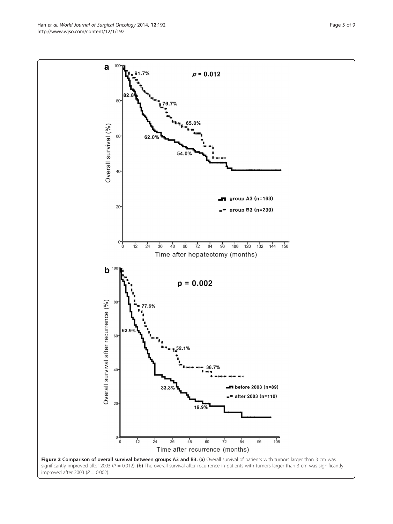<span id="page-4-0"></span>Han et al. World Journal of Surgical Oncology 2014, 12:192 **Page 5 of 9** Page 5 of 9 http://www.wjso.com/content/12/1/192



improved after 2003 ( $P = 0.002$ ).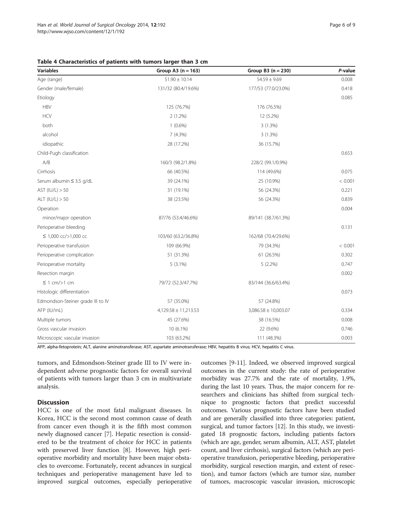<span id="page-5-0"></span>

| Table 4 Characteristics of patients with tumors larger than 3 cm |  |  |  |  |  |  |
|------------------------------------------------------------------|--|--|--|--|--|--|
|------------------------------------------------------------------|--|--|--|--|--|--|

| <b>Variables</b>                  | Group A3 $(n = 163)$     | Group $B3(n = 230)$      | P-value |
|-----------------------------------|--------------------------|--------------------------|---------|
| Age (range)                       | $51.90 \pm 10.14$        | $54.59 \pm 9.69$         | 0.008   |
| Gender (male/female)              | 131/32 (80.4/19.6%)      | 177/53 (77.0/23.0%)      | 0.418   |
| Etiology                          |                          |                          | 0.085   |
| <b>HBV</b>                        | 125 (76.7%)              | 176 (76.5%)              |         |
| <b>HCV</b>                        | $2(1.2\%)$               | 12 (5.2%)                |         |
| both                              | $1(0.6\%)$               | 3(1.3%)                  |         |
| alcohol                           | 7(4.3%)                  | 3(1.3%)                  |         |
| idiopathic                        | 28 (17.2%)               | 36 (15.7%)               |         |
| Child-Pugh classification         |                          |                          | 0.653   |
| A/B                               | 160/3 (98.2/1.8%)        | 228/2 (99.1/0.9%)        |         |
| Cirrhosis                         | 66 (40.5%)               | 114 (49.6%)              | 0.075   |
| Serum albumin ≤ 3.5 g/dL          | 39 (24.1%)               | 25 (10.9%)               | < 0.001 |
| AST $(IU/L) > 50$                 | 31 (19.1%)               | 56 (24.3%)               | 0.221   |
| ALT $(IU/L) > 50$                 | 38 (23.5%)               | 56 (24.3%)               | 0.839   |
| Operation                         |                          |                          | 0.004   |
| minor/major operation             | 87/76 (53.4/46.6%)       | 89/141 (38.7/61.3%)      |         |
| Perioperative bleeding            |                          |                          | 0.131   |
| ≤ 1,000 cc/>1,000 cc              | 103/60 (63.2/36.8%)      | 162/68 (70.4/29.6%)      |         |
| Perioperative transfusion         | 109 (66.9%)              | 79 (34.3%)               | < 0.001 |
| Perioperative complication        | 51 (31.3%)               | 61 (26.5%)               | 0.302   |
| Perioperative mortality           | $5(3.1\%)$               | $5(2.2\%)$               | 0.747   |
| Resection margin                  |                          |                          | 0.002   |
| $\leq$ 1 cm/>1 cm                 | 79/72 (52.3/47.7%)       | 83/144 (36.6/63.4%)      |         |
| Histologic differentiation        |                          |                          | 0.073   |
| Edmondson-Steiner grade III to IV | 57 (35.0%)               | 57 (24.8%)               |         |
| AFP (IU/mL)                       | $4,129.58 \pm 11,213.53$ | $3,086.58 \pm 10,003.07$ | 0.334   |
| Multiple tumors                   | 45 (27.6%)               | 38 (16.5%)               | 0.008   |
| Gross vascular invasion           | 10 (6.1%)                | 22 (9.6%)                | 0.746   |
| Microscopic vascular invasion     | 103 (63.2%)              | 111 (48.3%)              | 0.003   |

AFP, alpha-fetoprotein; ALT, alanine aminotransferase; AST, aspartate aminotransferase; HBV, hepatitis B virus; HCV, hepatitis C virus.

tumors, and Edmondson-Steiner grade III to IV were independent adverse prognostic factors for overall survival of patients with tumors larger than 3 cm in multivariate analysis.

#### **Discussion**

HCC is one of the most fatal malignant diseases. In Korea, HCC is the second most common cause of death from cancer even though it is the fifth most common newly diagnosed cancer [\[7](#page-8-0)]. Hepatic resection is considered to be the treatment of choice for HCC in patients with preserved liver function [[8](#page-8-0)]. However, high perioperative morbidity and mortality have been major obstacles to overcome. Fortunately, recent advances in surgical techniques and perioperative management have led to improved surgical outcomes, especially perioperative

outcomes [[9-11](#page-8-0)]. Indeed, we observed improved surgical outcomes in the current study: the rate of perioperative morbidity was 27.7% and the rate of mortality, 1.9%, during the last 10 years. Thus, the major concern for researchers and clinicians has shifted from surgical technique to prognostic factors that predict successful outcomes. Various prognostic factors have been studied and are generally classified into three categories: patient, surgical, and tumor factors [\[12\]](#page-8-0). In this study, we investigated 18 prognostic factors, including patients factors (which are age, gender, serum albumin, ALT, AST, platelet count, and liver cirrhosis), surgical factors (which are perioperative transfusion, perioperative bleeding, perioperative morbidity, surgical resection margin, and extent of resection), and tumor factors (which are tumor size, number of tumors, macroscopic vascular invasion, microscopic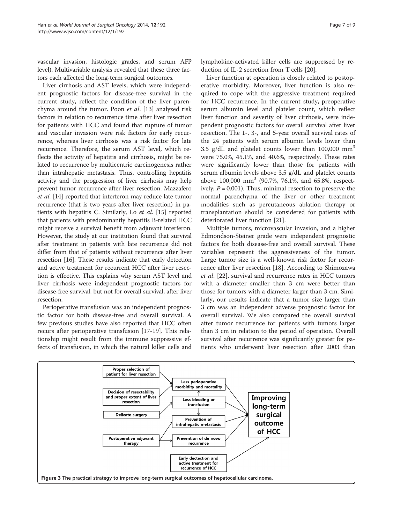<span id="page-6-0"></span>vascular invasion, histologic grades, and serum AFP level). Multivariable analysis revealed that these three factors each affected the long-term surgical outcomes.

Liver cirrhosis and AST levels, which were independent prognostic factors for disease-free survival in the current study, reflect the condition of the liver parenchyma around the tumor. Poon et al. [\[13](#page-8-0)] analyzed risk factors in relation to recurrence time after liver resection for patients with HCC and found that rupture of tumor and vascular invasion were risk factors for early recurrence, whereas liver cirrhosis was a risk factor for late recurrence. Therefore, the serum AST level, which reflects the activity of hepatitis and cirrhosis, might be related to recurrence by multicentric carcinogenesis rather than intrahepatic metastasis. Thus, controlling hepatitis activity and the progression of liver cirrhosis may help prevent tumor recurrence after liver resection. Mazzafero et al. [\[14\]](#page-8-0) reported that interferon may reduce late tumor recurrence (that is two years after liver resection) in patients with hepatitis C. Similarly, Lo et al. [\[15](#page-8-0)] reported that patients with predominantly hepatitis B-related HCC might receive a survival benefit from adjuvant interferon. However, the study at our institution found that survival after treatment in patients with late recurrence did not differ from that of patients without recurrence after liver resection [[16](#page-8-0)]. These results indicate that early detection and active treatment for recurrent HCC after liver resection is effective. This explains why serum AST level and liver cirrhosis were independent prognostic factors for disease-free survival, but not for overall survival, after liver resection.

Perioperative transfusion was an independent prognostic factor for both disease-free and overall survival. A few previous studies have also reported that HCC often recurs after perioperative transfusion [[17-19\]](#page-8-0). This relationship might result from the immune suppressive effects of transfusion, in which the natural killer cells and lymphokine-activated killer cells are suppressed by reduction of IL-2 secretion from T cells [\[20\]](#page-8-0).

Liver function at operation is closely related to postoperative morbidity. Moreover, liver function is also required to cope with the aggressive treatment required for HCC recurrence. In the current study, preoperative serum albumin level and platelet count, which reflect liver function and severity of liver cirrhosis, were independent prognostic factors for overall survival after liver resection. The 1-, 3-, and 5-year overall survival rates of the 24 patients with serum albumin levels lower than 3.5 g/dL and platelet counts lower than  $100,000$  mm<sup>3</sup> were 75.0%, 45.1%, and 40.6%, respectively. These rates were significantly lower than those for patients with serum albumin levels above 3.5 g/dL and platelet counts above 100,000 mm<sup>3</sup> (90.7%, 76.1%, and 65.8%, respectively;  $P = 0.001$ ). Thus, minimal resection to preserve the normal parenchyma of the liver or other treatment modalities such as percutaneous ablation therapy or transplantation should be considered for patients with deteriorated liver function [\[21\]](#page-8-0).

Multiple tumors, microvascular invasion, and a higher Edmondson-Steiner grade were independent prognostic factors for both disease-free and overall survival. These variables represent the aggressiveness of the tumor. Large tumor size is a well-known risk factor for recurrence after liver resection [[18\]](#page-8-0). According to Shimozawa et al. [\[22\]](#page-8-0), survival and recurrence rates in HCC tumors with a diameter smaller than 3 cm were better than those for tumors with a diameter larger than 3 cm. Similarly, our results indicate that a tumor size larger than 3 cm was an independent adverse prognostic factor for overall survival. We also compared the overall survival after tumor recurrence for patients with tumors larger than 3 cm in relation to the period of operation. Overall survival after recurrence was significantly greater for patients who underwent liver resection after 2003 than

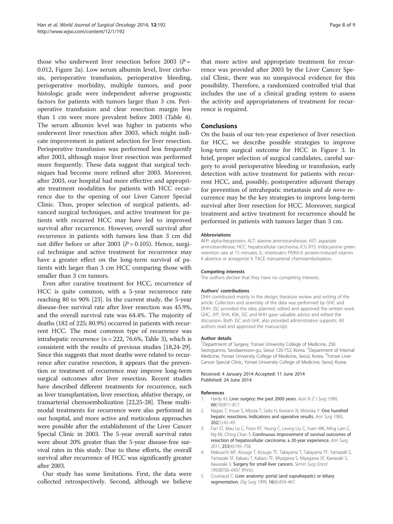<span id="page-7-0"></span>those who underwent liver resection before 2003 ( $P =$ 0.012, Figure [2a](#page-4-0)). Low serum albumin level, liver cirrhosis, perioperative transfusion, perioperative bleeding, perioperative morbidity, multiple tumors, and poor histologic grade were independent adverse prognostic factors for patients with tumors larger than 3 cm. Perioperative transfusion and clear resection margin less than 1 cm were more prevalent before 2003 (Table [4](#page-5-0)). The serum albumin level was higher in patients who underwent liver resection after 2003, which might indicate improvement in patient selection for liver resection. Perioperative transfusion was performed less frequently after 2003, although major liver resection was performed more frequently. These data suggest that surgical techniques had become more refined after 2003. Moreover, after 2003, our hospital had more effective and appropriate treatment modalities for patients with HCC recurrence due to the opening of our Liver Cancer Special Clinic. Thus, proper selection of surgical patients, advanced surgical techniques, and active treatment for patients with recurred HCC may have led to improved survival after recurrence. However, overall survival after recurrence in patients with tumors less than 3 cm did not differ before or after 2003 ( $P = 0.105$ ). Hence, surgical technique and active treatment for recurrence may have a greater effect on the long-term survival of patients with larger than 3 cm HCC comparing those with smaller than 3 cm tumors.

Even after curative treatment for HCC, recurrence of HCC is quite common, with a 5-year recurrence rate reaching 80 to 90% [\[23](#page-8-0)]. In the current study, the 5-year disease-free survival rate after liver resection was 45.9%, and the overall survival rate was 64.4%. The majority of deaths (182 of 225; 80.9%) occurred in patients with recurrent HCC. The most common type of recurrence was intrahepatic recurrence (n = 222, 76.6%, Table [3\)](#page-3-0), which is consistent with the results of previous studies [[18,24](#page-8-0)-[29](#page-8-0)]. Since this suggests that most deaths were related to recurrence after curative resection, it appears that the prevention or treatment of recurrence may improve long-term surgical outcomes after liver resection. Recent studies have described different treatments for recurrence, such as liver transplantation, liver resection, ablative therapy, or transarterial chemoembolization [\[22,25-28\]](#page-8-0). These multimodal treatments for recurrence were also performed in our hospital, and more active and meticulous approaches were possible after the establishment of the Liver Cancer Special Clinic in 2003. The 5-year overall survival rates were about 20% greater than the 5-year disease-free survival rates in this study. Due to these efforts, the overall survival after recurrence of HCC was significantly greater after 2003.

Our study has some limitations. First, the data were collected retrospectively. Second, although we believe that more active and appropriate treatment for recurrence was provided after 2003 by the Liver Cancer Special Clinic, there was no unequivocal evidence for this possibility. Therefore, a randomized controlled trial that includes the use of a clinical grading system to assess the activity and appropriateness of treatment for recurrence is required.

#### Conclusions

On the basis of our ten-year experience of liver resection for HCC, we describe possible strategies to improve long-term surgical outcome for HCC in Figure [3](#page-6-0). In brief, proper selection of surgical candidates, careful surgery to avoid perioperative bleeding or transfusion, early detection with active treatment for patients with recurrent HCC, and, possibly, postoperative adjuvant therapy for prevention of intrahepatic metastasis and de novo recurrence may be the key strategies to improve long-term survival after liver resection for HCC. Moreover, surgical treatment and active treatment for recurrence should be performed in patients with tumors larger than 3 cm.

#### Abbreviations

AFP: alpha-fetoprotein; ALT: alanine aminotransferase; AST: aspartate aminotransferase; HCC: hepatocellular carcinoma; ICG R15: indocyanine green retention rate at 15 minutes; IL: interleukin; PIVKA-II: protein-induced vitamin K absence or antagonist II; TACE: transarterial chemoembolization.

#### Competing interests

The authors declare that they have no competing interests.

#### Authors' contributions

DHH contributed mainly in the design, literature review and writing of the article. Collection and assembly of the data was performed by GHC and DHH. JSC provided the idea, planned, edited and approved the written work. GHC, JYP, SHA, KSK, JSC and KHH gave valuable advice and edited the discussion. Both JSC and GHC also provided administrative supports. All authors read and approved the manuscript.

#### Author details

<sup>1</sup>Department of Surgery, Yonsei University College of Medicine, 250 Seongsanno, Seodaemoon-gu, Seoul 120-752, Korea. <sup>2</sup>Department of Internal Medicine, Yonsei University College of Medicine, Seoul, Korea. <sup>3</sup>Yonsei Liver Cancer Special Clinic, Yonsei University College of Medicine, Seoul, Korea.

Received: 4 January 2014 Accepted: 11 June 2014 Published: 24 June 2014

#### References

- 1. Hardy KJ: Liver surgery: the past 2000 years. Aust  $N Z J$  Surg 1990, 60(10):811–817.
- 2. Nagao T, Inoue S, Mizuta T, Saito H, Kawano N, Morioka Y: One hundred hepatic resections. Indications and operative results. Ann Surg 1985, 202(1):42–49.
- 3. Fan ST, Mau Lo C, Poon RT, Yeung C, Leung Liu C, Yuen WK, Ming Lam C, Ng KK, Ching Chan S: Continuous improvement of survival outcomes of resection of hepatocellular carcinoma: a 20-year experience. Ann Surg 2011, 253(4):745–758.
- 4. Makuuchi MF, Kosuge T, Kosuge TF, Takayama T, Takayama TF, Yamazaki S, Yamazaki SF, Kakazu T, Kakazu TF, Miyagawa S, Miyagawa SF, Kawasaki S, Kawasaki S: Surgery for small liver cancers. Semin Surg Oncol 19938756–0437 (Print).
- 5. Couinaud C: Liver anatomy: portal (and suprahepatic) or biliary segmentation. Dig Surg 1999, 16(6):459-467.